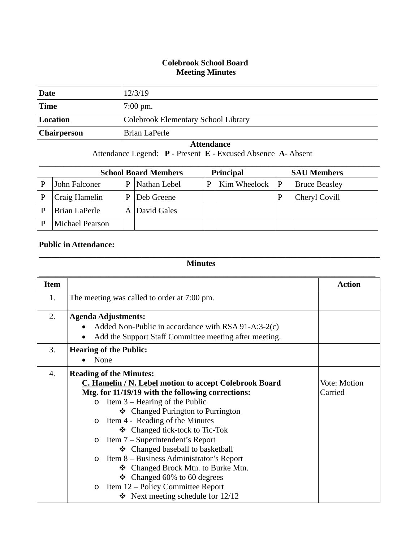## **Colebrook School Board Meeting Minutes**

| Date               | 12/3/19                             |
|--------------------|-------------------------------------|
| <b>Time</b>        | $7:00 \text{ pm}$ .                 |
| Location           | Colebrook Elementary School Library |
| <b>Chairperson</b> | Brian LaPerle                       |

## **Attendance**

Attendance Legend: **P** - Present **E** - Excused Absence **A**- Absent

| <b>School Board Members</b><br><b>Principal</b> |                 |              |              |   | <b>SAU Members</b> |   |                      |
|-------------------------------------------------|-----------------|--------------|--------------|---|--------------------|---|----------------------|
|                                                 | John Falconer   | D            | Nathan Lebel | P | Kim Wheelock       | P | <b>Bruce Beasley</b> |
|                                                 | Craig Hamelin   | D            | Deb Greene   |   |                    |   | Cheryl Covill        |
|                                                 | Brian LaPerle   | $\mathbf{A}$ | David Gales  |   |                    |   |                      |
|                                                 | Michael Pearson |              |              |   |                    |   |                      |

## **Public in Attendance:**

**Minutes**

**\_\_\_\_\_\_\_\_\_\_\_\_\_\_\_\_\_\_\_\_\_\_\_\_\_\_\_\_\_\_\_\_\_\_\_\_\_\_\_\_\_\_\_\_\_\_\_\_\_\_\_\_\_\_\_\_\_\_\_\_\_\_\_\_\_\_\_\_\_\_\_\_\_\_\_\_\_\_\_\_\_\_\_**

| <b>Item</b>      |                                                        | <b>Action</b> |
|------------------|--------------------------------------------------------|---------------|
| 1.               | The meeting was called to order at 7:00 pm.            |               |
| 2.               | <b>Agenda Adjustments:</b>                             |               |
|                  | Added Non-Public in accordance with RSA 91-A:3-2(c)    |               |
|                  | Add the Support Staff Committee meeting after meeting. |               |
| 3.               | <b>Hearing of the Public:</b>                          |               |
|                  | None                                                   |               |
| $\overline{4}$ . | <b>Reading of the Minutes:</b>                         |               |
|                  | C. Hamelin / N. Lebel motion to accept Colebrook Board | Vote: Motion  |
|                  | Mtg. for 11/19/19 with the following corrections:      | Carried       |
|                  | Item 3 – Hearing of the Public<br>$\Omega$             |               |
|                  | ❖ Changed Purington to Purrington                      |               |
|                  | Item 4 - Reading of the Minutes<br>$\circ$             |               |
|                  | $\triangleleft$ Changed tick-tock to Tic-Tok           |               |
|                  | Item 7 – Superintendent's Report<br>$\circ$            |               |
|                  | ❖ Changed baseball to basketball                       |               |
|                  | Item 8 – Business Administrator's Report<br>$\circ$    |               |
|                  | ❖ Changed Brock Mtn. to Burke Mtn.                     |               |
|                  | $\div$ Changed 60% to 60 degrees                       |               |
|                  | Item 12 – Policy Committee Report<br>$\circ$           |               |
|                  | • Next meeting schedule for $12/12$                    |               |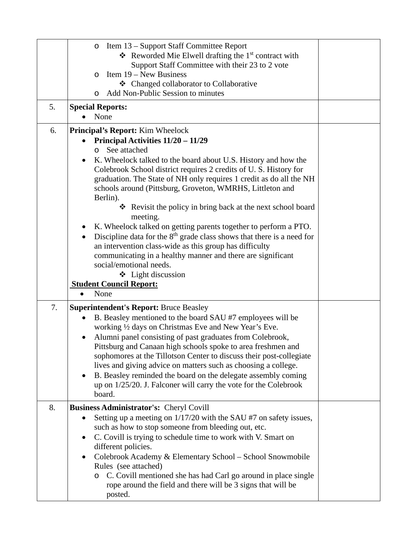| 5. | Item 13 – Support Staff Committee Report<br>O<br>$\triangleleft$ Reworded Mie Elwell drafting the 1 <sup>st</sup> contract with<br>Support Staff Committee with their 23 to 2 vote<br>Item 19 – New Business<br>$\circ$<br>❖ Changed collaborator to Collaborative<br>Add Non-Public Session to minutes<br>O<br><b>Special Reports:</b><br>None                                                                                                                                                                                                                                                                                                                                                                                                                                                                                     |  |
|----|-------------------------------------------------------------------------------------------------------------------------------------------------------------------------------------------------------------------------------------------------------------------------------------------------------------------------------------------------------------------------------------------------------------------------------------------------------------------------------------------------------------------------------------------------------------------------------------------------------------------------------------------------------------------------------------------------------------------------------------------------------------------------------------------------------------------------------------|--|
| 6. | <b>Principal's Report:</b> Kim Wheelock                                                                                                                                                                                                                                                                                                                                                                                                                                                                                                                                                                                                                                                                                                                                                                                             |  |
|    | Principal Activities $11/20 - 11/29$<br>See attached<br>$\circ$<br>K. Wheelock talked to the board about U.S. History and how the<br>٠<br>Colebrook School district requires 2 credits of U.S. History for<br>graduation. The State of NH only requires 1 credit as do all the NH<br>schools around (Pittsburg, Groveton, WMRHS, Littleton and<br>Berlin).<br>Revisit the policy in bring back at the next school board<br>meeting.<br>K. Wheelock talked on getting parents together to perform a PTO.<br>Discipline data for the $8th$ grade class shows that there is a need for<br>$\bullet$<br>an intervention class-wide as this group has difficulty<br>communicating in a healthy manner and there are significant<br>social/emotional needs.<br>$\triangleleft$ Light discussion<br><b>Student Council Report:</b><br>None |  |
| 7. | <b>Superintendent's Report: Bruce Beasley</b>                                                                                                                                                                                                                                                                                                                                                                                                                                                                                                                                                                                                                                                                                                                                                                                       |  |
|    | B. Beasley mentioned to the board SAU #7 employees will be<br>working 1/2 days on Christmas Eve and New Year's Eve.                                                                                                                                                                                                                                                                                                                                                                                                                                                                                                                                                                                                                                                                                                                 |  |
|    | Alumni panel consisting of past graduates from Colebrook,<br>Pittsburg and Canaan high schools spoke to area freshmen and<br>sophomores at the Tillotson Center to discuss their post-collegiate<br>lives and giving advice on matters such as choosing a college.<br>B. Beasley reminded the board on the delegate assembly coming<br>٠<br>up on 1/25/20. J. Falconer will carry the vote for the Colebrook<br>board.                                                                                                                                                                                                                                                                                                                                                                                                              |  |
| 8. | <b>Business Administrator's: Cheryl Covill</b>                                                                                                                                                                                                                                                                                                                                                                                                                                                                                                                                                                                                                                                                                                                                                                                      |  |
|    | Setting up a meeting on 1/17/20 with the SAU #7 on safety issues,<br>$\bullet$<br>such as how to stop someone from bleeding out, etc.<br>C. Covill is trying to schedule time to work with V. Smart on<br>different policies.<br>Colebrook Academy & Elementary School - School Snowmobile<br>Rules (see attached)<br>C. Covill mentioned she has had Carl go around in place single<br>$\circ$<br>rope around the field and there will be 3 signs that will be<br>posted.                                                                                                                                                                                                                                                                                                                                                          |  |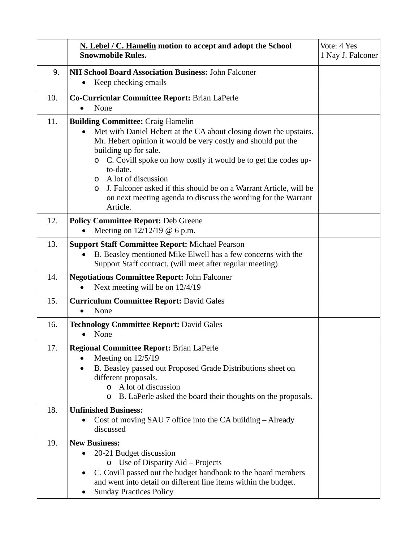|     | N. Lebel / C. Hamelin motion to accept and adopt the School<br><b>Snowmobile Rules.</b>                                                                                                                                                                                                                                                                                                                                                                                                             | Vote: 4 Yes<br>1 Nay J. Falconer |
|-----|-----------------------------------------------------------------------------------------------------------------------------------------------------------------------------------------------------------------------------------------------------------------------------------------------------------------------------------------------------------------------------------------------------------------------------------------------------------------------------------------------------|----------------------------------|
| 9.  | <b>NH School Board Association Business: John Falconer</b><br>Keep checking emails                                                                                                                                                                                                                                                                                                                                                                                                                  |                                  |
| 10. | Co-Curricular Committee Report: Brian LaPerle<br>None                                                                                                                                                                                                                                                                                                                                                                                                                                               |                                  |
| 11. | <b>Building Committee: Craig Hamelin</b><br>Met with Daniel Hebert at the CA about closing down the upstairs.<br>$\bullet$<br>Mr. Hebert opinion it would be very costly and should put the<br>building up for sale.<br>o C. Covill spoke on how costly it would be to get the codes up-<br>to-date.<br>A lot of discussion<br>$\circ$<br>J. Falconer asked if this should be on a Warrant Article, will be<br>$\circ$<br>on next meeting agenda to discuss the wording for the Warrant<br>Article. |                                  |
| 12. | <b>Policy Committee Report: Deb Greene</b><br>Meeting on $12/12/19$ @ 6 p.m.                                                                                                                                                                                                                                                                                                                                                                                                                        |                                  |
| 13. | <b>Support Staff Committee Report: Michael Pearson</b><br>B. Beasley mentioned Mike Elwell has a few concerns with the<br>$\bullet$<br>Support Staff contract. (will meet after regular meeting)                                                                                                                                                                                                                                                                                                    |                                  |
| 14. | <b>Negotiations Committee Report: John Falconer</b><br>Next meeting will be on 12/4/19                                                                                                                                                                                                                                                                                                                                                                                                              |                                  |
| 15. | <b>Curriculum Committee Report: David Gales</b><br>None<br>$\bullet$                                                                                                                                                                                                                                                                                                                                                                                                                                |                                  |
| 16. | <b>Technology Committee Report: David Gales</b><br>None                                                                                                                                                                                                                                                                                                                                                                                                                                             |                                  |
| 17. | <b>Regional Committee Report: Brian LaPerle</b><br>Meeting on $12/5/19$<br>B. Beasley passed out Proposed Grade Distributions sheet on<br>$\bullet$<br>different proposals.<br>o A lot of discussion<br>B. LaPerle asked the board their thoughts on the proposals.<br>$\circ$                                                                                                                                                                                                                      |                                  |
| 18. | <b>Unfinished Business:</b><br>Cost of moving SAU 7 office into the CA building – Already<br>$\bullet$<br>discussed                                                                                                                                                                                                                                                                                                                                                                                 |                                  |
| 19. | <b>New Business:</b><br>20-21 Budget discussion<br>Use of Disparity Aid – Projects<br>$\circ$<br>C. Covill passed out the budget handbook to the board members<br>and went into detail on different line items within the budget.<br><b>Sunday Practices Policy</b>                                                                                                                                                                                                                                 |                                  |